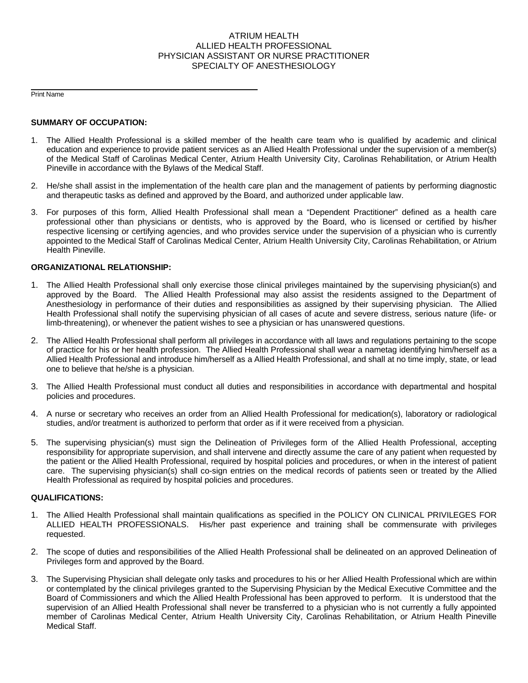## ATRIUM HEALTH ALLIED HEALTH PROFESSIONAL PHYSICIAN ASSISTANT OR NURSE PRACTITIONER SPECIALTY OF ANESTHESIOLOGY

Print Name

## **SUMMARY OF OCCUPATION:**

- 1. The Allied Health Professional is a skilled member of the health care team who is qualified by academic and clinical education and experience to provide patient services as an Allied Health Professional under the supervision of a member(s) of the Medical Staff of Carolinas Medical Center, Atrium Health University City, Carolinas Rehabilitation, or Atrium Health Pineville in accordance with the Bylaws of the Medical Staff.
- 2. He/she shall assist in the implementation of the health care plan and the management of patients by performing diagnostic and therapeutic tasks as defined and approved by the Board, and authorized under applicable law.
- 3. For purposes of this form, Allied Health Professional shall mean a "Dependent Practitioner" defined as a health care professional other than physicians or dentists, who is approved by the Board, who is licensed or certified by his/her respective licensing or certifying agencies, and who provides service under the supervision of a physician who is currently appointed to the Medical Staff of Carolinas Medical Center, Atrium Health University City, Carolinas Rehabilitation, or Atrium Health Pineville.

## **ORGANIZATIONAL RELATIONSHIP:**

- 1. The Allied Health Professional shall only exercise those clinical privileges maintained by the supervising physician(s) and approved by the Board. The Allied Health Professional may also assist the residents assigned to the Department of Anesthesiology in performance of their duties and responsibilities as assigned by their supervising physician. The Allied Health Professional shall notify the supervising physician of all cases of acute and severe distress, serious nature (life- or limb-threatening), or whenever the patient wishes to see a physician or has unanswered questions.
- 2. The Allied Health Professional shall perform all privileges in accordance with all laws and regulations pertaining to the scope of practice for his or her health profession. The Allied Health Professional shall wear a nametag identifying him/herself as a Allied Health Professional and introduce him/herself as a Allied Health Professional, and shall at no time imply, state, or lead one to believe that he/she is a physician.
- 3. The Allied Health Professional must conduct all duties and responsibilities in accordance with departmental and hospital policies and procedures.
- 4. A nurse or secretary who receives an order from an Allied Health Professional for medication(s), laboratory or radiological studies, and/or treatment is authorized to perform that order as if it were received from a physician.
- 5. The supervising physician(s) must sign the Delineation of Privileges form of the Allied Health Professional, accepting responsibility for appropriate supervision, and shall intervene and directly assume the care of any patient when requested by the patient or the Allied Health Professional, required by hospital policies and procedures, or when in the interest of patient care. The supervising physician(s) shall co-sign entries on the medical records of patients seen or treated by the Allied Health Professional as required by hospital policies and procedures.

## **QUALIFICATIONS:**

- 1. The Allied Health Professional shall maintain qualifications as specified in the POLICY ON CLINICAL PRIVILEGES FOR ALLIED HEALTH PROFESSIONALS. His/her past experience and training shall be commensurate with privileges requested.
- 2. The scope of duties and responsibilities of the Allied Health Professional shall be delineated on an approved Delineation of Privileges form and approved by the Board.
- 3. The Supervising Physician shall delegate only tasks and procedures to his or her Allied Health Professional which are within or contemplated by the clinical privileges granted to the Supervising Physician by the Medical Executive Committee and the Board of Commissioners and which the Allied Health Professional has been approved to perform. It is understood that the supervision of an Allied Health Professional shall never be transferred to a physician who is not currently a fully appointed member of Carolinas Medical Center, Atrium Health University City, Carolinas Rehabilitation, or Atrium Health Pineville Medical Staff.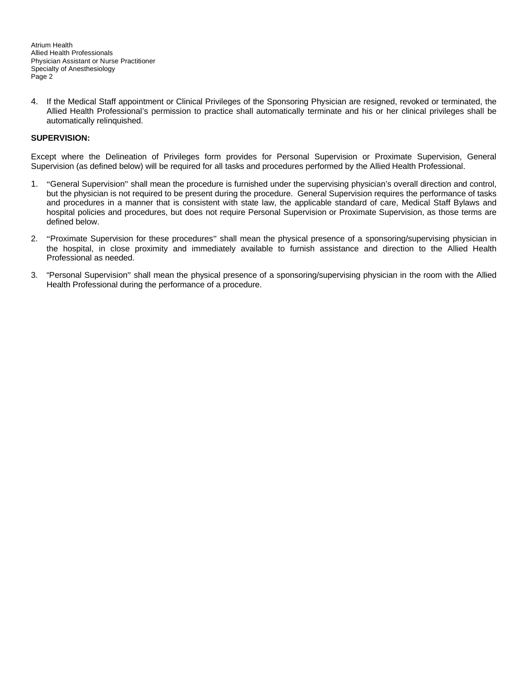Atrium Health Allied Health Professionals Physician Assistant or Nurse Practitioner Specialty of Anesthesiology Page 2

4. If the Medical Staff appointment or Clinical Privileges of the Sponsoring Physician are resigned, revoked or terminated, the Allied Health Professional's permission to practice shall automatically terminate and his or her clinical privileges shall be automatically relinquished.

## **SUPERVISION:**

Except where the Delineation of Privileges form provides for Personal Supervision or Proximate Supervision, General Supervision (as defined below) will be required for all tasks and procedures performed by the Allied Health Professional.

- 1. "General Supervision" shall mean the procedure is furnished under the supervising physician's overall direction and control, but the physician is not required to be present during the procedure. General Supervision requires the performance of tasks and procedures in a manner that is consistent with state law, the applicable standard of care, Medical Staff Bylaws and hospital policies and procedures, but does not require Personal Supervision or Proximate Supervision, as those terms are defined below.
- 2. "Proximate Supervision for these procedures" shall mean the physical presence of a sponsoring/supervising physician in the hospital, in close proximity and immediately available to furnish assistance and direction to the Allied Health Professional as needed.
- 3. "Personal Supervision" shall mean the physical presence of a sponsoring/supervising physician in the room with the Allied Health Professional during the performance of a procedure.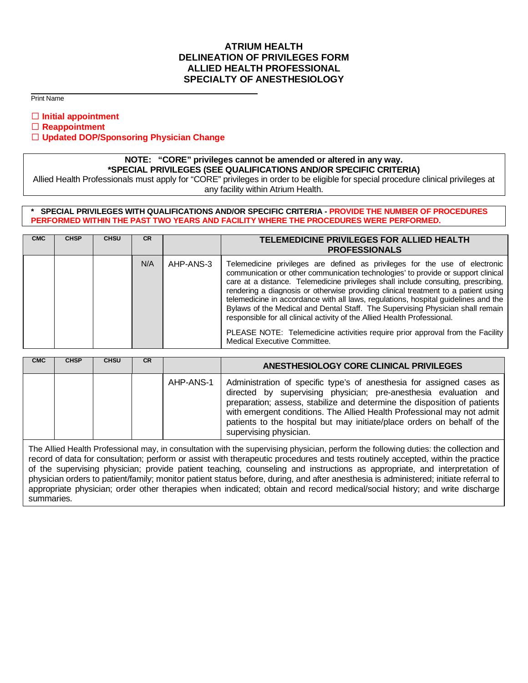## **ATRIUM HEALTH DELINEATION OF PRIVILEGES FORM ALLIED HEALTH PROFESSIONAL SPECIALTY OF ANESTHESIOLOGY**

Print Name

**Initial appointment** 

**Reappointment**

**Updated DOP/Sponsoring Physician Change**

# **NOTE: "CORE" privileges cannot be amended or altered in any way. \*SPECIAL PRIVILEGES (SEE QUALIFICATIONS AND/OR SPECIFIC CRITERIA)**

Allied Health Professionals must apply for "CORE" privileges in order to be eligible for special procedure clinical privileges at any facility within Atrium Health.

#### **\* SPECIAL PRIVILEGES WITH QUALIFICATIONS AND/OR SPECIFIC CRITERIA - PROVIDE THE NUMBER OF PROCEDURES PERFORMED WITHIN THE PAST TWO YEARS AND FACILITY WHERE THE PROCEDURES WERE PERFORMED.**

| <b>CMC</b> | <b>CHSP</b> | <b>CHSU</b> | <b>CR</b> | TELEMEDICINE PRIVILEGES FOR ALLIED HEALTH<br><b>PROFESSIONALS</b> |                                                                                                                                                                                                                                                                                                                                                                                                                                                                                                                                                                                                                                                                                                                   |  |  |
|------------|-------------|-------------|-----------|-------------------------------------------------------------------|-------------------------------------------------------------------------------------------------------------------------------------------------------------------------------------------------------------------------------------------------------------------------------------------------------------------------------------------------------------------------------------------------------------------------------------------------------------------------------------------------------------------------------------------------------------------------------------------------------------------------------------------------------------------------------------------------------------------|--|--|
|            |             |             | N/A       | AHP-ANS-3                                                         | Telemedicine privileges are defined as privileges for the use of electronic<br>communication or other communication technologies' to provide or support clinical<br>care at a distance. Telemedicine privileges shall include consulting, prescribing,<br>rendering a diagnosis or otherwise providing clinical treatment to a patient using<br>telemedicine in accordance with all laws, regulations, hospital guidelines and the<br>Bylaws of the Medical and Dental Staff. The Supervising Physician shall remain<br>responsible for all clinical activity of the Allied Health Professional.<br>PLEASE NOTE: Telemedicine activities require prior approval from the Facility<br>Medical Executive Committee. |  |  |

| <b>CMC</b> | <b>CHSP</b> | <b>CHSU</b> | <b>CR</b> |           | ANESTHESIOLOGY CORE CLINICAL PRIVILEGES                                                                                                                                                                                                                                                                                                                                                                |  |  |
|------------|-------------|-------------|-----------|-----------|--------------------------------------------------------------------------------------------------------------------------------------------------------------------------------------------------------------------------------------------------------------------------------------------------------------------------------------------------------------------------------------------------------|--|--|
|            |             |             |           | AHP-ANS-1 | Administration of specific type's of anesthesia for assigned cases as<br>directed by supervising physician; pre-anesthesia evaluation and<br>preparation; assess, stabilize and determine the disposition of patients<br>with emergent conditions. The Allied Health Professional may not admit  <br>patients to the hospital but may initiate/place orders on behalf of the<br>supervising physician. |  |  |

The Allied Health Professional may, in consultation with the supervising physician, perform the following duties: the collection and record of data for consultation; perform or assist with therapeutic procedures and tests routinely accepted, within the practice of the supervising physician; provide patient teaching, counseling and instructions as appropriate, and interpretation of physician orders to patient/family; monitor patient status before, during, and after anesthesia is administered; initiate referral to appropriate physician; order other therapies when indicated; obtain and record medical/social history; and write discharge summaries.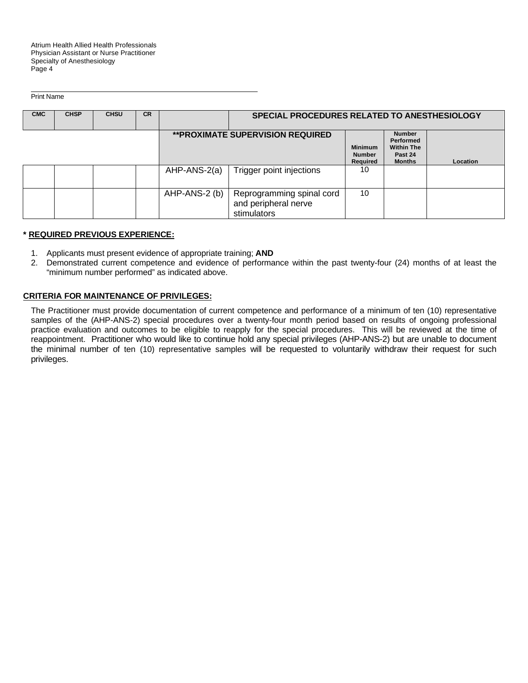Atrium Health Allied Health Professionals Physician Assistant or Nurse Practitioner Specialty of Anesthesiology Page 4

Print Name

| <b>CMC</b> | <b>CHSP</b> | <b>CHSU</b> | <b>CR</b> |               | SPECIAL PROCEDURES RELATED TO ANESTHESIOLOGY                     |                                                    |                                                                             |          |
|------------|-------------|-------------|-----------|---------------|------------------------------------------------------------------|----------------------------------------------------|-----------------------------------------------------------------------------|----------|
|            |             |             |           |               | <b>**PROXIMATE SUPERVISION REQUIRED</b>                          | <b>Minimum</b><br><b>Number</b><br><b>Required</b> | <b>Number</b><br>Performed<br><b>Within The</b><br>Past 24<br><b>Months</b> | Location |
|            |             |             |           | AHP-ANS-2(a)  | Trigger point injections                                         | 10                                                 |                                                                             |          |
|            |             |             |           | AHP-ANS-2 (b) | Reprogramming spinal cord<br>and peripheral nerve<br>stimulators | 10                                                 |                                                                             |          |

## **\* REQUIRED PREVIOUS EXPERIENCE:**

- 1. Applicants must present evidence of appropriate training; **AND**
- 2. Demonstrated current competence and evidence of performance within the past twenty-four (24) months of at least the "minimum number performed" as indicated above.

## **CRITERIA FOR MAINTENANCE OF PRIVILEGES:**

The Practitioner must provide documentation of current competence and performance of a minimum of ten (10) representative samples of the (AHP-ANS-2) special procedures over a twenty-four month period based on results of ongoing professional practice evaluation and outcomes to be eligible to reapply for the special procedures. This will be reviewed at the time of reappointment. Practitioner who would like to continue hold any special privileges (AHP-ANS-2) but are unable to document the minimal number of ten (10) representative samples will be requested to voluntarily withdraw their request for such privileges.